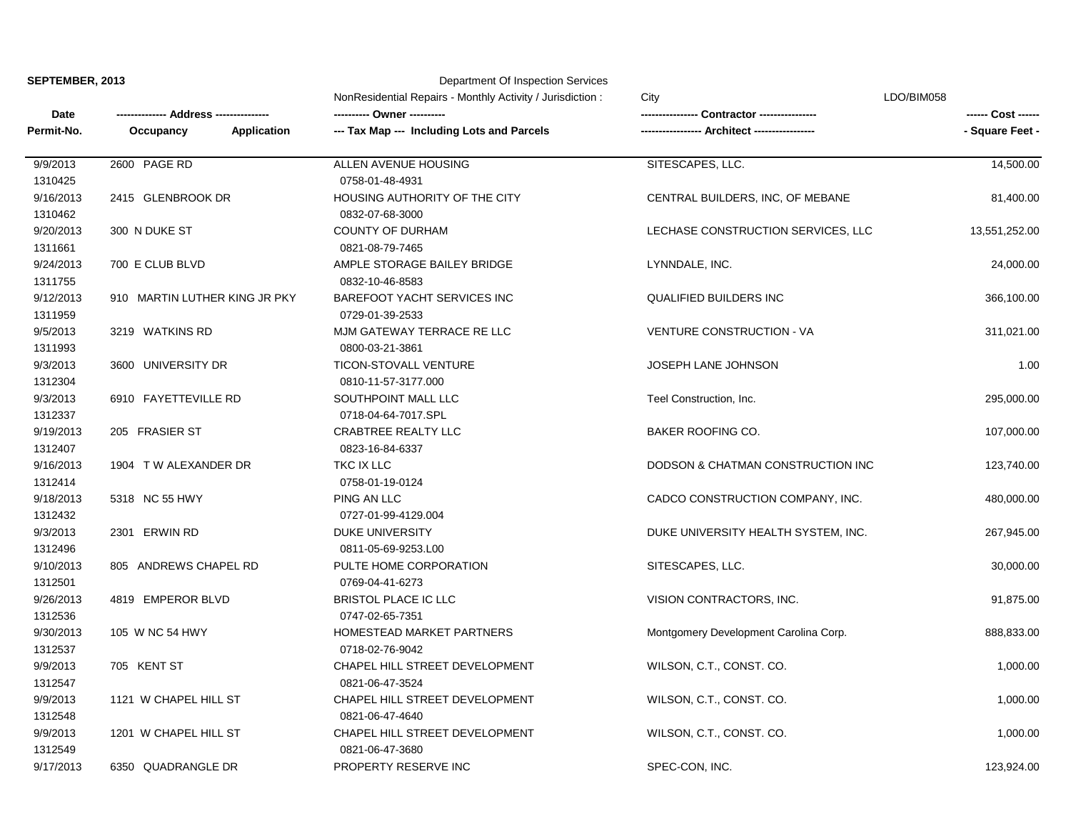| SEPTEMBER, 2013 |  |
|-----------------|--|
|-----------------|--|

## **Department Of Inspection Services**

|                      |                                 | NonResidential Repairs - Monthly Activity / Jurisdiction: | City                                  | LDO/BIM058      |
|----------------------|---------------------------------|-----------------------------------------------------------|---------------------------------------|-----------------|
| Date                 | Address ---------------         |                                                           | Contractor ----------------           |                 |
| Permit-No.           | <b>Application</b><br>Occupancy | --- Tax Map --- Including Lots and Parcels                | - Architect ----                      | - Square Feet - |
| 9/9/2013             | 2600 PAGE RD                    | ALLEN AVENUE HOUSING                                      | SITESCAPES, LLC.                      | 14,500.00       |
| 1310425              |                                 | 0758-01-48-4931                                           |                                       |                 |
| 9/16/2013<br>1310462 | 2415 GLENBROOK DR               | HOUSING AUTHORITY OF THE CITY<br>0832-07-68-3000          | CENTRAL BUILDERS, INC, OF MEBANE      | 81,400.00       |
| 9/20/2013            | 300 N DUKE ST                   | <b>COUNTY OF DURHAM</b>                                   | LECHASE CONSTRUCTION SERVICES, LLC    | 13,551,252.00   |
| 1311661              |                                 | 0821-08-79-7465                                           |                                       |                 |
| 9/24/2013            | 700 E CLUB BLVD                 | AMPLE STORAGE BAILEY BRIDGE                               | LYNNDALE, INC.                        | 24,000.00       |
| 1311755              |                                 | 0832-10-46-8583                                           |                                       |                 |
| 9/12/2013            | 910 MARTIN LUTHER KING JR PKY   | BAREFOOT YACHT SERVICES INC                               | <b>QUALIFIED BUILDERS INC</b>         | 366,100.00      |
| 1311959              |                                 | 0729-01-39-2533                                           |                                       |                 |
| 9/5/2013             | 3219 WATKINS RD                 | MJM GATEWAY TERRACE RE LLC                                | <b>VENTURE CONSTRUCTION - VA</b>      | 311,021.00      |
| 1311993              |                                 | 0800-03-21-3861                                           |                                       |                 |
| 9/3/2013             | 3600 UNIVERSITY DR              | TICON-STOVALL VENTURE                                     | JOSEPH LANE JOHNSON                   | 1.00            |
| 1312304              |                                 | 0810-11-57-3177.000                                       |                                       |                 |
| 9/3/2013             | 6910 FAYETTEVILLE RD            | SOUTHPOINT MALL LLC                                       | Teel Construction, Inc.               | 295,000.00      |
| 1312337              |                                 | 0718-04-64-7017.SPL                                       |                                       |                 |
| 9/19/2013            | 205 FRASIER ST                  | <b>CRABTREE REALTY LLC</b>                                | <b>BAKER ROOFING CO.</b>              | 107,000.00      |
| 1312407              |                                 | 0823-16-84-6337                                           |                                       |                 |
| 9/16/2013            | 1904 T W ALEXANDER DR           | TKC IX LLC                                                | DODSON & CHATMAN CONSTRUCTION INC     | 123,740.00      |
| 1312414              |                                 | 0758-01-19-0124                                           |                                       |                 |
| 9/18/2013            | 5318 NC 55 HWY                  | PING AN LLC                                               | CADCO CONSTRUCTION COMPANY, INC.      | 480,000.00      |
| 1312432              |                                 | 0727-01-99-4129.004                                       |                                       |                 |
| 9/3/2013             | 2301 ERWIN RD                   | <b>DUKE UNIVERSITY</b>                                    | DUKE UNIVERSITY HEALTH SYSTEM, INC.   | 267,945.00      |
| 1312496              |                                 | 0811-05-69-9253.L00                                       |                                       |                 |
| 9/10/2013            | 805 ANDREWS CHAPEL RD           | PULTE HOME CORPORATION                                    | SITESCAPES, LLC.                      | 30,000.00       |
| 1312501              |                                 | 0769-04-41-6273                                           |                                       |                 |
| 9/26/2013            | 4819 EMPEROR BLVD               | <b>BRISTOL PLACE IC LLC</b>                               | VISION CONTRACTORS, INC.              | 91,875.00       |
| 1312536              |                                 | 0747-02-65-7351                                           |                                       |                 |
| 9/30/2013            | 105 W NC 54 HWY                 | HOMESTEAD MARKET PARTNERS                                 | Montgomery Development Carolina Corp. | 888,833.00      |
| 1312537              |                                 | 0718-02-76-9042                                           |                                       |                 |
| 9/9/2013             | 705 KENT ST                     | CHAPEL HILL STREET DEVELOPMENT                            | WILSON, C.T., CONST. CO.              | 1,000.00        |
| 1312547              |                                 | 0821-06-47-3524                                           |                                       |                 |
| 9/9/2013             | 1121 W CHAPEL HILL ST           | CHAPEL HILL STREET DEVELOPMENT                            | WILSON, C.T., CONST. CO.              | 1,000.00        |
| 1312548              |                                 | 0821-06-47-4640                                           |                                       |                 |
| 9/9/2013             | 1201 W CHAPEL HILL ST           | CHAPEL HILL STREET DEVELOPMENT                            | WILSON, C.T., CONST. CO.              | 1,000.00        |
| 1312549              |                                 | 0821-06-47-3680                                           |                                       |                 |
| 9/17/2013            | 6350 QUADRANGLE DR              | PROPERTY RESERVE INC                                      | SPEC-CON, INC.                        | 123,924.00      |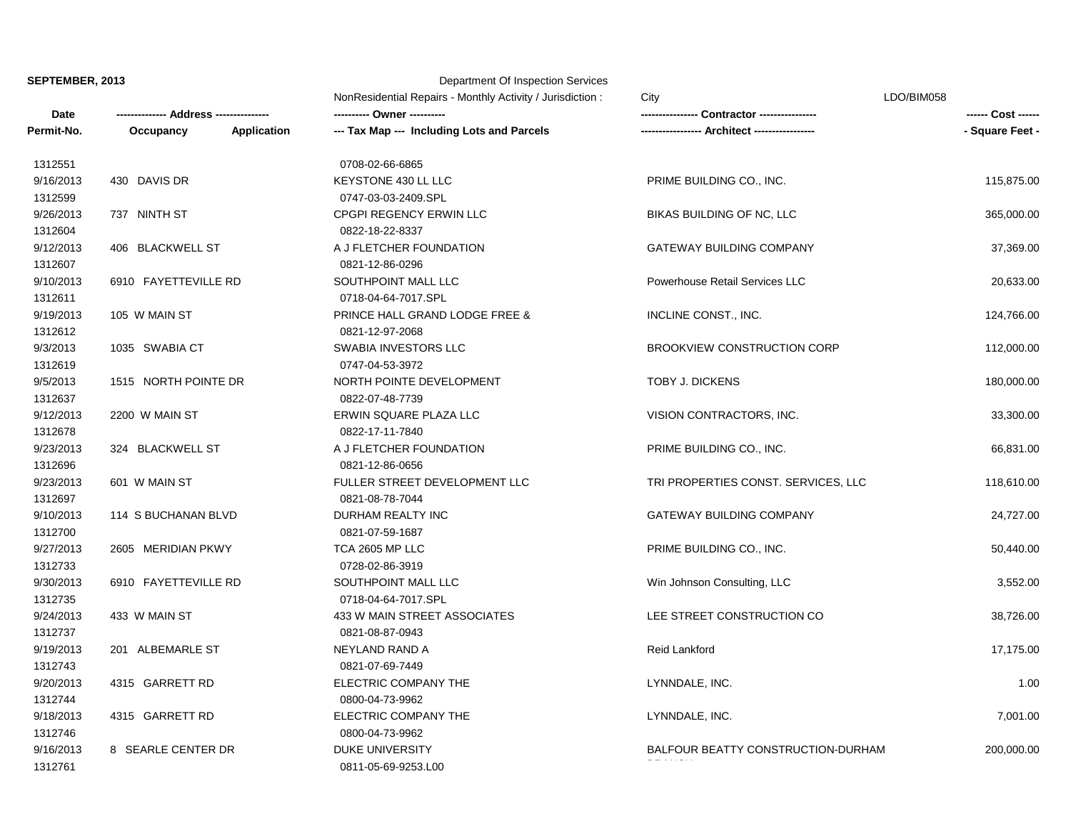## **SEPTEMBER, 2013** Department Of Inspection Services

|            |                      |                           | NonResidential Repairs - Monthly Activity / Jurisdiction: | City                                | LDO/BIM058      |
|------------|----------------------|---------------------------|-----------------------------------------------------------|-------------------------------------|-----------------|
| Date       |                      | <b>Address ----------</b> |                                                           | Contractor ----------------         |                 |
| Permit-No. | Occupancy            | <b>Application</b>        | --- Tax Map --- Including Lots and Parcels                |                                     | - Square Feet - |
| 1312551    |                      |                           | 0708-02-66-6865                                           |                                     |                 |
| 9/16/2013  | 430 DAVIS DR         |                           | KEYSTONE 430 LL LLC                                       | PRIME BUILDING CO., INC.            | 115,875.00      |
| 1312599    |                      |                           | 0747-03-03-2409.SPL                                       |                                     |                 |
| 9/26/2013  | 737 NINTH ST         |                           | CPGPI REGENCY ERWIN LLC                                   | BIKAS BUILDING OF NC, LLC           | 365,000.00      |
| 1312604    |                      |                           | 0822-18-22-8337                                           |                                     |                 |
| 9/12/2013  | 406 BLACKWELL ST     |                           | A J FLETCHER FOUNDATION                                   | <b>GATEWAY BUILDING COMPANY</b>     | 37,369.00       |
| 1312607    |                      |                           | 0821-12-86-0296                                           |                                     |                 |
| 9/10/2013  | 6910 FAYETTEVILLE RD |                           | SOUTHPOINT MALL LLC                                       | Powerhouse Retail Services LLC      | 20,633.00       |
| 1312611    |                      |                           | 0718-04-64-7017.SPL                                       |                                     |                 |
| 9/19/2013  | 105 W MAIN ST        |                           | PRINCE HALL GRAND LODGE FREE &                            | INCLINE CONST., INC.                | 124,766.00      |
| 1312612    |                      |                           | 0821-12-97-2068                                           |                                     |                 |
| 9/3/2013   | 1035 SWABIA CT       |                           | <b>SWABIA INVESTORS LLC</b>                               | <b>BROOKVIEW CONSTRUCTION CORP</b>  | 112,000.00      |
| 1312619    |                      |                           | 0747-04-53-3972                                           |                                     |                 |
| 9/5/2013   | 1515 NORTH POINTE DR |                           | NORTH POINTE DEVELOPMENT                                  | <b>TOBY J. DICKENS</b>              | 180,000.00      |
| 1312637    |                      |                           | 0822-07-48-7739                                           |                                     |                 |
| 9/12/2013  | 2200 W MAIN ST       |                           | ERWIN SQUARE PLAZA LLC                                    | VISION CONTRACTORS, INC.            | 33,300.00       |
| 1312678    |                      |                           | 0822-17-11-7840                                           |                                     |                 |
| 9/23/2013  | 324 BLACKWELL ST     |                           | A J FLETCHER FOUNDATION                                   | PRIME BUILDING CO., INC.            | 66,831.00       |
| 1312696    |                      |                           | 0821-12-86-0656                                           |                                     |                 |
| 9/23/2013  | 601 W MAIN ST        |                           | FULLER STREET DEVELOPMENT LLC                             | TRI PROPERTIES CONST. SERVICES, LLC | 118,610.00      |
| 1312697    |                      |                           | 0821-08-78-7044                                           |                                     |                 |
| 9/10/2013  | 114 S BUCHANAN BLVD  |                           | DURHAM REALTY INC                                         | <b>GATEWAY BUILDING COMPANY</b>     | 24,727.00       |
| 1312700    |                      |                           | 0821-07-59-1687                                           |                                     |                 |
| 9/27/2013  | 2605 MERIDIAN PKWY   |                           | TCA 2605 MP LLC                                           | PRIME BUILDING CO., INC.            | 50,440.00       |
| 1312733    |                      |                           | 0728-02-86-3919                                           |                                     |                 |
| 9/30/2013  | 6910 FAYETTEVILLE RD |                           | SOUTHPOINT MALL LLC                                       | Win Johnson Consulting, LLC         | 3,552.00        |
| 1312735    |                      |                           | 0718-04-64-7017.SPL                                       |                                     |                 |
| 9/24/2013  | 433 W MAIN ST        |                           | 433 W MAIN STREET ASSOCIATES                              | LEE STREET CONSTRUCTION CO          | 38,726.00       |
| 1312737    |                      |                           | 0821-08-87-0943                                           |                                     |                 |
| 9/19/2013  | 201 ALBEMARLE ST     |                           | NEYLAND RAND A                                            | Reid Lankford                       | 17,175.00       |
| 1312743    |                      |                           | 0821-07-69-7449                                           |                                     |                 |
| 9/20/2013  | 4315 GARRETT RD      |                           | ELECTRIC COMPANY THE                                      | LYNNDALE, INC.                      | 1.00            |
| 1312744    |                      |                           | 0800-04-73-9962                                           |                                     |                 |
| 9/18/2013  | 4315 GARRETT RD      |                           | ELECTRIC COMPANY THE                                      | LYNNDALE, INC.                      | 7,001.00        |
| 1312746    |                      |                           | 0800-04-73-9962                                           |                                     |                 |
| 9/16/2013  | 8 SEARLE CENTER DR   |                           | DUKE UNIVERSITY                                           | BALFOUR BEATTY CONSTRUCTION-DURHAM  | 200,000.00      |
| 1312761    |                      |                           | 0811-05-69-9253.L00                                       |                                     |                 |